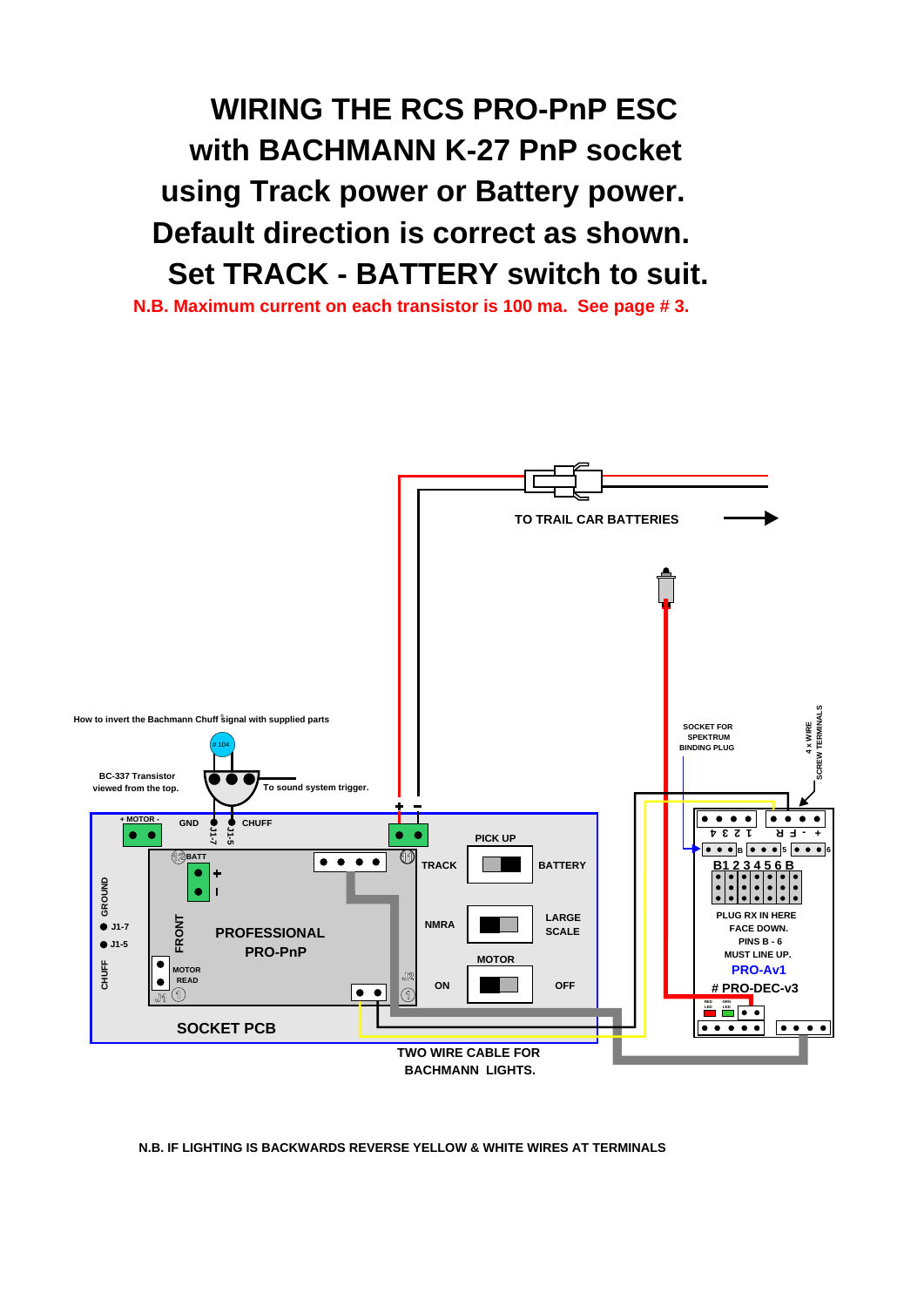*WIRING THE RCS PRO-PnP ESC with BACHMANN K-27 PnP socket using Track power or Battery power. Default direction is correct as shown. Set TRACK - BATTERY switch to suit.*

*N.B. Maximum current on each transistor is 100 ma. See page # 3.*



#### *N.B. IF LIGHTING IS BACKWARDS REVERSE YELLOW & WHITE WIRES AT TERMINALS*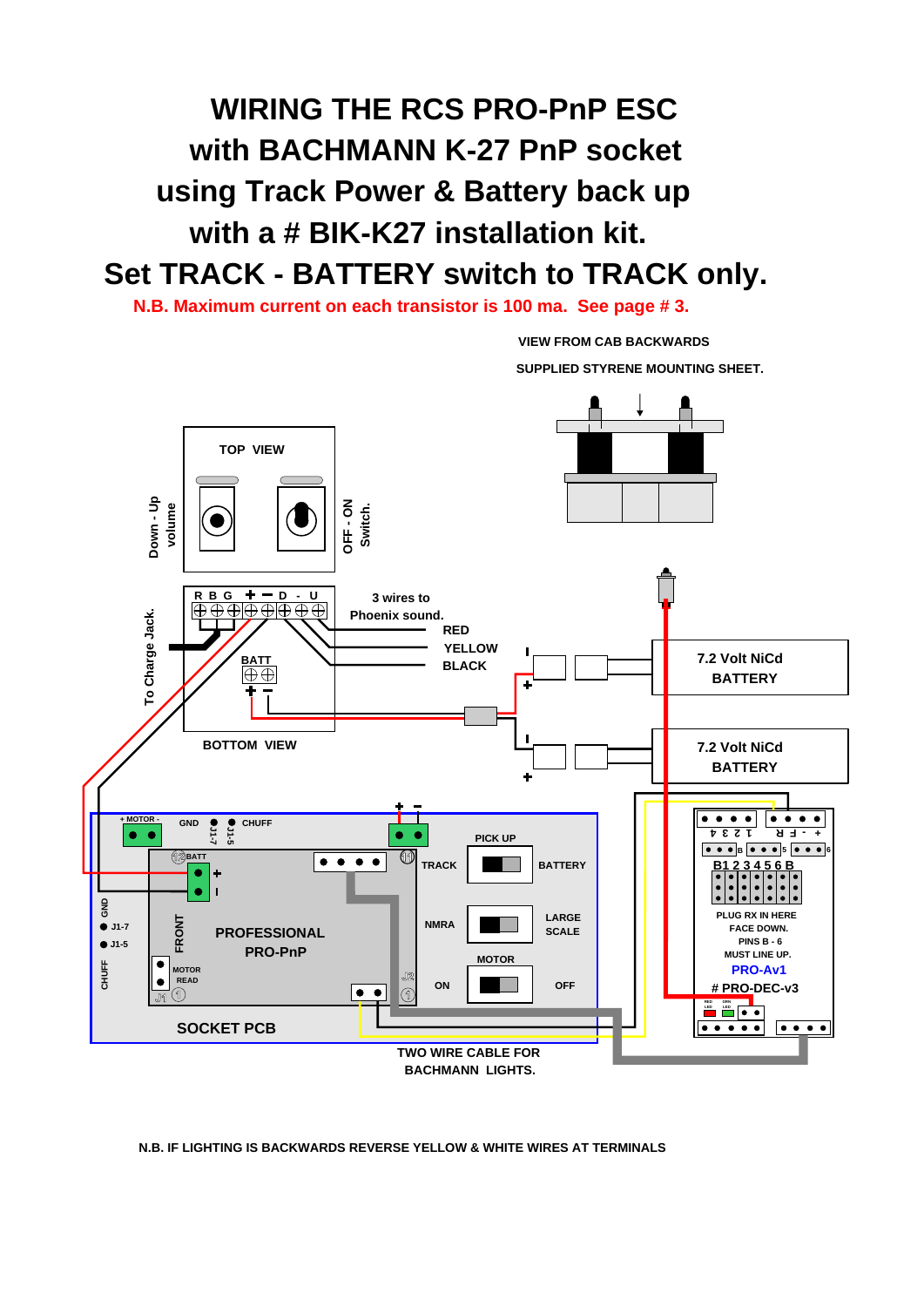# *WIRING THE RCS PRO-PnP ESC with BACHMANN K-27 PnP socket using Track Power & Battery back up with a # BIK-K27 installation kit. Set TRACK - BATTERY switch to TRACK only.*

*N.B. Maximum current on each transistor is 100 ma. See page # 3.*

*VIEW FROM CAB BACKWARDS*



*N.B. IF LIGHTING IS BACKWARDS REVERSE YELLOW & WHITE WIRES AT TERMINALS*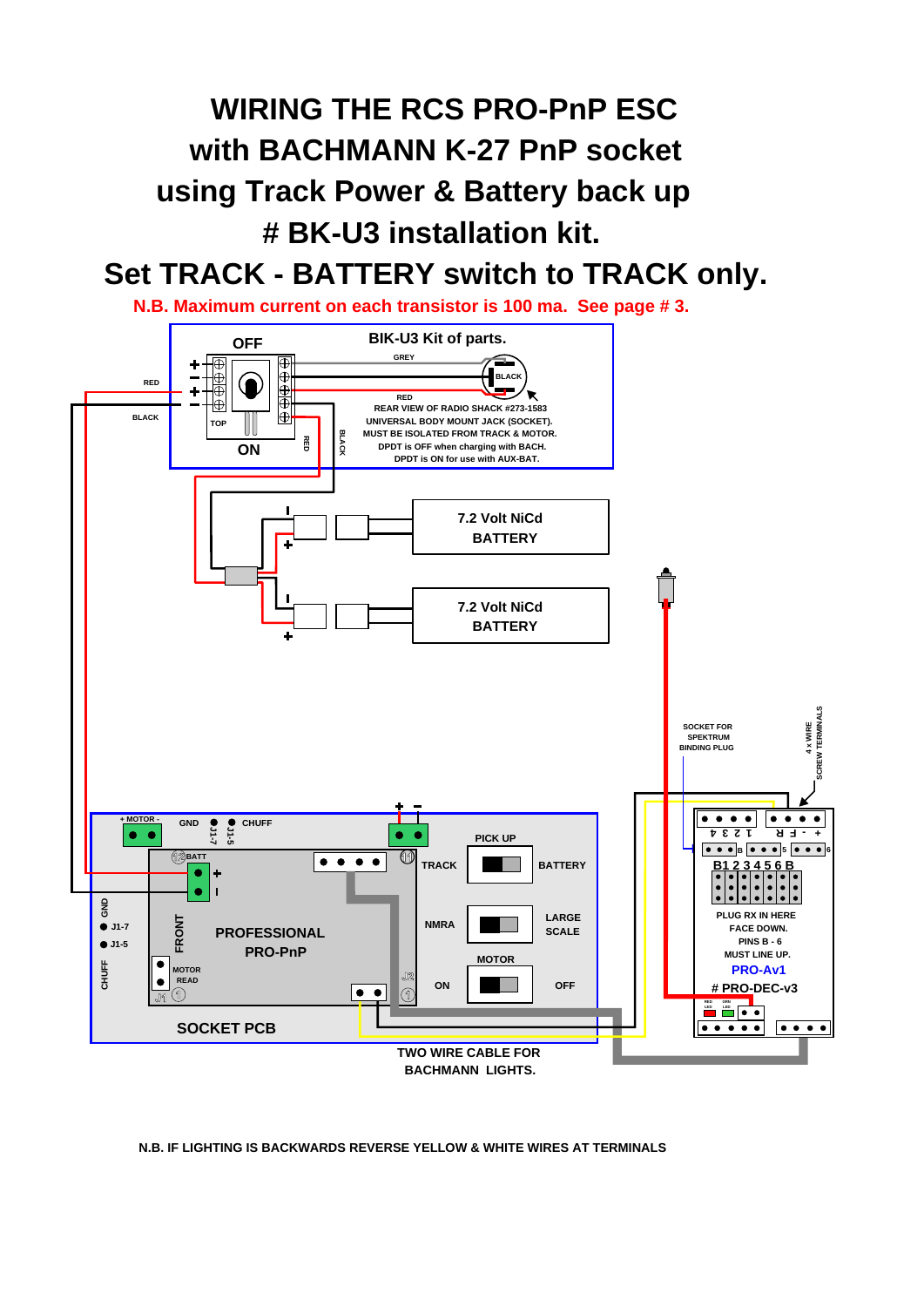# *WIRING THE RCS PRO-PnP ESC with BACHMANN K-27 PnP socket using Track Power & Battery back up # BK-U3 installation kit.*

### *Set TRACK - BATTERY switch to TRACK only.*

*N.B. Maximum current on each transistor is 100 ma. See page # 3.*



*N.B. IF LIGHTING IS BACKWARDS REVERSE YELLOW & WHITE WIRES AT TERMINALS*